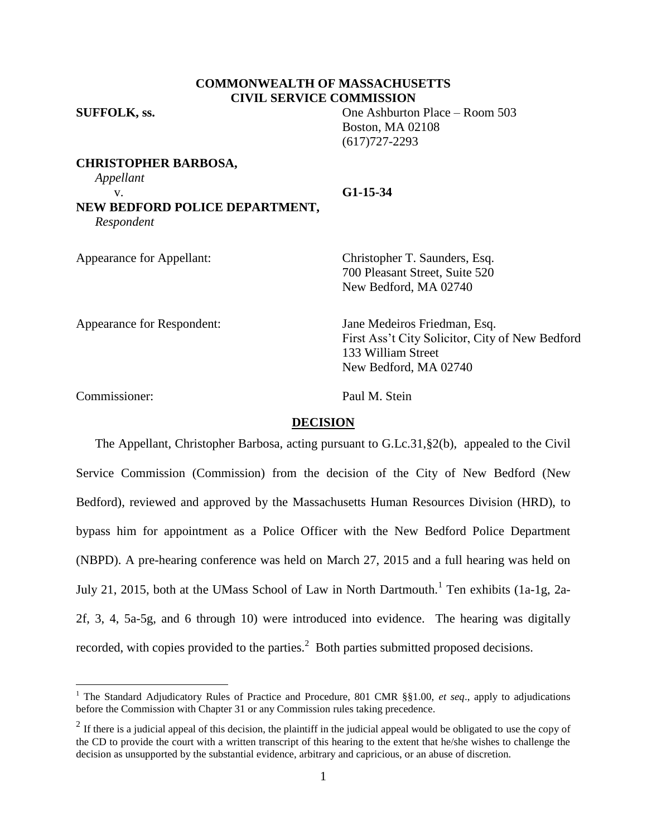## **COMMONWEALTH OF MASSACHUSETTS CIVIL SERVICE COMMISSION**

**SUFFOLK, ss.** One Ashburton Place – Room 503 Boston, MA 02108 (617)727-2293

**CHRISTOPHER BARBOSA,**

*Appellant*

v. **G1-15-34 NEW BEDFORD POLICE DEPARTMENT,** *Respondent*

Appearance for Appellant: Christopher T. Saunders, Esq. 700 Pleasant Street, Suite 520 New Bedford, MA 02740

Appearance for Respondent: Jane Medeiros Friedman, Esq. First Ass't City Solicitor, City of New Bedford 133 William Street New Bedford, MA 02740

Commissioner: Paul M. Stein

 $\overline{a}$ 

### **DECISION**

The Appellant, Christopher Barbosa, acting pursuant to G.Lc.31,§2(b), appealed to the Civil Service Commission (Commission) from the decision of the City of New Bedford (New Bedford), reviewed and approved by the Massachusetts Human Resources Division (HRD), to bypass him for appointment as a Police Officer with the New Bedford Police Department (NBPD). A pre-hearing conference was held on March 27, 2015 and a full hearing was held on July 21, 2015, both at the UMass School of Law in North Dartmouth.<sup>1</sup> Ten exhibits (1a-1g, 2a-2f, 3, 4, 5a-5g, and 6 through 10) were introduced into evidence. The hearing was digitally recorded, with copies provided to the parties.<sup>2</sup> Both parties submitted proposed decisions.

<sup>1</sup> The Standard Adjudicatory Rules of Practice and Procedure, 801 CMR §§1.00, *et seq*., apply to adjudications before the Commission with Chapter 31 or any Commission rules taking precedence.

<sup>&</sup>lt;sup>2</sup> If there is a judicial appeal of this decision, the plaintiff in the judicial appeal would be obligated to use the copy of the CD to provide the court with a written transcript of this hearing to the extent that he/she wishes to challenge the decision as unsupported by the substantial evidence, arbitrary and capricious, or an abuse of discretion.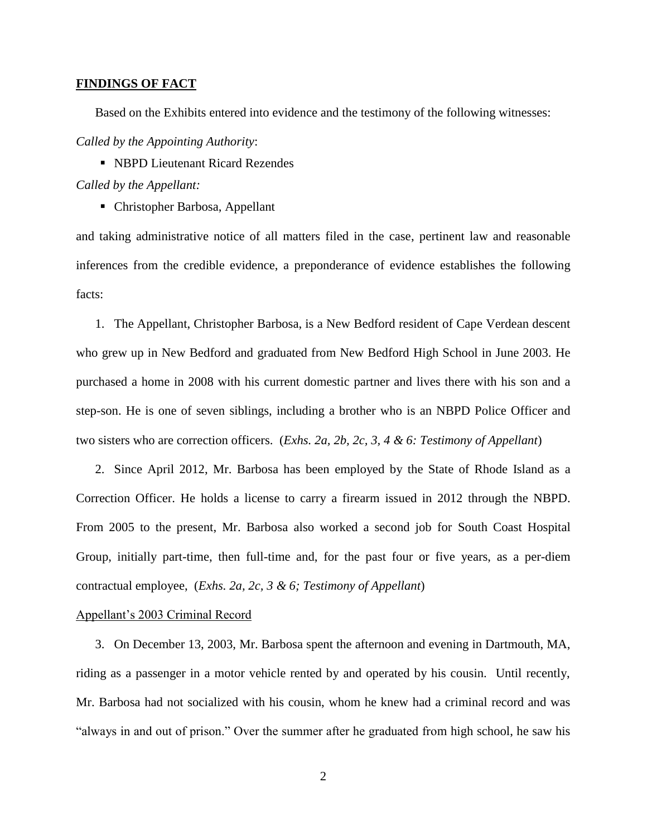#### **FINDINGS OF FACT**

Based on the Exhibits entered into evidence and the testimony of the following witnesses:

*Called by the Appointing Authority*:

■ NBPD Lieutenant Ricard Rezendes *Called by the Appellant:*

Christopher Barbosa, Appellant

and taking administrative notice of all matters filed in the case, pertinent law and reasonable inferences from the credible evidence, a preponderance of evidence establishes the following facts:

1. The Appellant, Christopher Barbosa, is a New Bedford resident of Cape Verdean descent who grew up in New Bedford and graduated from New Bedford High School in June 2003. He purchased a home in 2008 with his current domestic partner and lives there with his son and a step-son. He is one of seven siblings, including a brother who is an NBPD Police Officer and two sisters who are correction officers. (*Exhs. 2a, 2b, 2c, 3, 4 & 6: Testimony of Appellant*)

2. Since April 2012, Mr. Barbosa has been employed by the State of Rhode Island as a Correction Officer. He holds a license to carry a firearm issued in 2012 through the NBPD. From 2005 to the present, Mr. Barbosa also worked a second job for South Coast Hospital Group, initially part-time, then full-time and, for the past four or five years, as a per-diem contractual employee, (*Exhs. 2a, 2c, 3 & 6; Testimony of Appellant*)

### Appellant's 2003 Criminal Record

3. On December 13, 2003, Mr. Barbosa spent the afternoon and evening in Dartmouth, MA, riding as a passenger in a motor vehicle rented by and operated by his cousin. Until recently, Mr. Barbosa had not socialized with his cousin, whom he knew had a criminal record and was "always in and out of prison." Over the summer after he graduated from high school, he saw his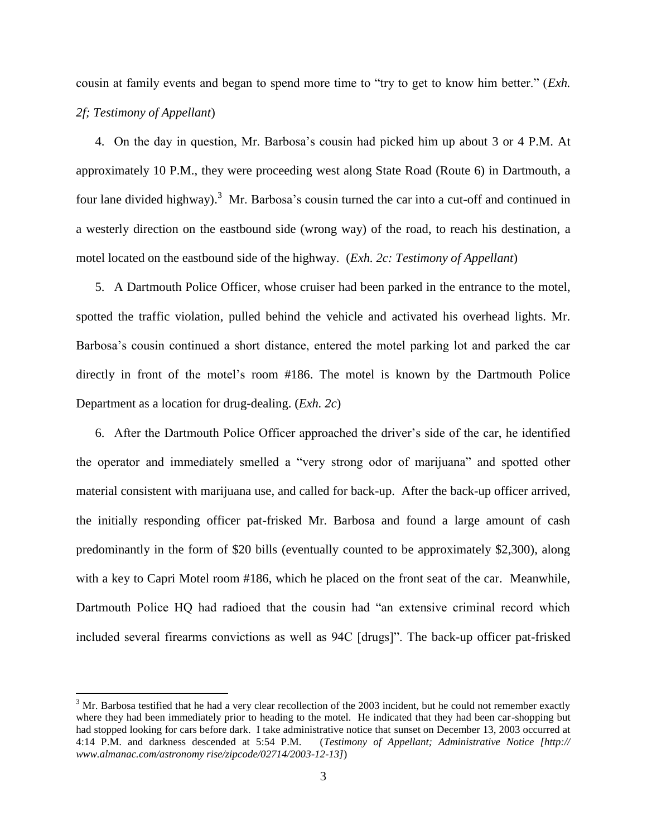cousin at family events and began to spend more time to "try to get to know him better." (*Exh. 2f; Testimony of Appellant*)

4. On the day in question, Mr. Barbosa's cousin had picked him up about 3 or 4 P.M. At approximately 10 P.M., they were proceeding west along State Road (Route 6) in Dartmouth, a four lane divided highway).<sup>3</sup> Mr. Barbosa's cousin turned the car into a cut-off and continued in a westerly direction on the eastbound side (wrong way) of the road, to reach his destination, a motel located on the eastbound side of the highway. (*Exh. 2c: Testimony of Appellant*)

5. A Dartmouth Police Officer, whose cruiser had been parked in the entrance to the motel, spotted the traffic violation, pulled behind the vehicle and activated his overhead lights. Mr. Barbosa's cousin continued a short distance, entered the motel parking lot and parked the car directly in front of the motel's room #186. The motel is known by the Dartmouth Police Department as a location for drug-dealing. (*Exh. 2c*)

6. After the Dartmouth Police Officer approached the driver's side of the car, he identified the operator and immediately smelled a "very strong odor of marijuana" and spotted other material consistent with marijuana use, and called for back-up. After the back-up officer arrived, the initially responding officer pat-frisked Mr. Barbosa and found a large amount of cash predominantly in the form of \$20 bills (eventually counted to be approximately \$2,300), along with a key to Capri Motel room #186, which he placed on the front seat of the car. Meanwhile, Dartmouth Police HQ had radioed that the cousin had "an extensive criminal record which included several firearms convictions as well as 94C [drugs]". The back-up officer pat-frisked

 $\overline{a}$ 

 $3$  Mr. Barbosa testified that he had a very clear recollection of the 2003 incident, but he could not remember exactly where they had been immediately prior to heading to the motel. He indicated that they had been car-shopping but had stopped looking for cars before dark. I take administrative notice that sunset on December 13, 2003 occurred at 4:14 P.M. and darkness descended at 5:54 P.M. (*Testimony of Appellant; Administrative Notice [http:// www.almanac.com/astronomy rise/zipcode/02714/2003-12-13]*)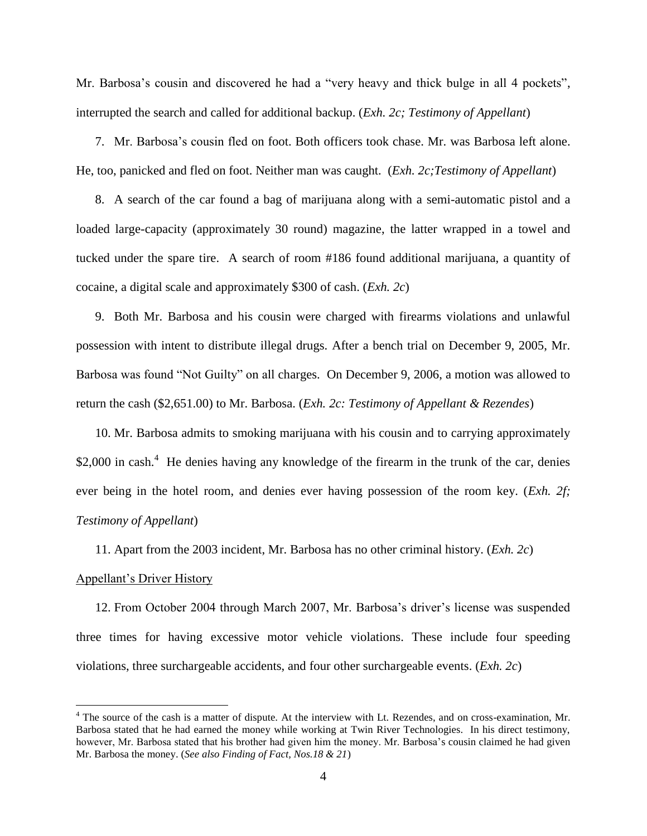Mr. Barbosa's cousin and discovered he had a "very heavy and thick bulge in all 4 pockets", interrupted the search and called for additional backup. (*Exh. 2c; Testimony of Appellant*)

7. Mr. Barbosa's cousin fled on foot. Both officers took chase. Mr. was Barbosa left alone. He, too, panicked and fled on foot. Neither man was caught. (*Exh. 2c;Testimony of Appellant*)

8. A search of the car found a bag of marijuana along with a semi-automatic pistol and a loaded large-capacity (approximately 30 round) magazine, the latter wrapped in a towel and tucked under the spare tire. A search of room #186 found additional marijuana, a quantity of cocaine, a digital scale and approximately \$300 of cash. (*Exh. 2c*)

9. Both Mr. Barbosa and his cousin were charged with firearms violations and unlawful possession with intent to distribute illegal drugs. After a bench trial on December 9, 2005, Mr. Barbosa was found "Not Guilty" on all charges. On December 9, 2006, a motion was allowed to return the cash (\$2,651.00) to Mr. Barbosa. (*Exh. 2c: Testimony of Appellant & Rezendes*)

10. Mr. Barbosa admits to smoking marijuana with his cousin and to carrying approximately \$2,000 in cash.<sup>4</sup> He denies having any knowledge of the firearm in the trunk of the car, denies ever being in the hotel room, and denies ever having possession of the room key. (*Exh. 2f; Testimony of Appellant*)

11. Apart from the 2003 incident, Mr. Barbosa has no other criminal history. (*Exh. 2c*)

#### Appellant's Driver History

 $\overline{a}$ 

12. From October 2004 through March 2007, Mr. Barbosa's driver's license was suspended three times for having excessive motor vehicle violations. These include four speeding violations, three surchargeable accidents, and four other surchargeable events. (*Exh. 2c*)

<sup>&</sup>lt;sup>4</sup> The source of the cash is a matter of dispute. At the interview with Lt. Rezendes, and on cross-examination, Mr. Barbosa stated that he had earned the money while working at Twin River Technologies. In his direct testimony, however, Mr. Barbosa stated that his brother had given him the money. Mr. Barbosa's cousin claimed he had given Mr. Barbosa the money. (*See also Finding of Fact, Nos.18 & 21*)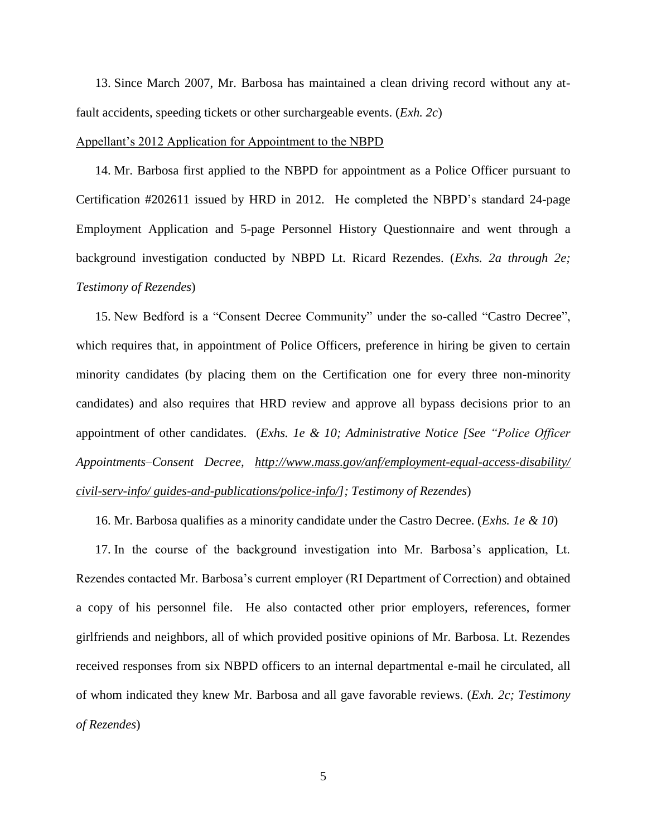13. Since March 2007, Mr. Barbosa has maintained a clean driving record without any atfault accidents, speeding tickets or other surchargeable events. (*Exh. 2c*)

#### Appellant's 2012 Application for Appointment to the NBPD

14. Mr. Barbosa first applied to the NBPD for appointment as a Police Officer pursuant to Certification #202611 issued by HRD in 2012. He completed the NBPD's standard 24-page Employment Application and 5-page Personnel History Questionnaire and went through a background investigation conducted by NBPD Lt. Ricard Rezendes. (*Exhs. 2a through 2e; Testimony of Rezendes*)

15. New Bedford is a "Consent Decree Community" under the so-called "Castro Decree", which requires that, in appointment of Police Officers, preference in hiring be given to certain minority candidates (by placing them on the Certification one for every three non-minority candidates) and also requires that HRD review and approve all bypass decisions prior to an appointment of other candidates. (*Exhs. 1e & 10; Administrative Notice [See "Police Officer Appointments–Consent Decree, [http://www.mass.gov/anf/employment-equal-access-disability/](http://www.mass.gov/anf/employment-equal-access-disability/%20civil-serv-info/%20guides-and-publications/police-info/)  [civil-serv-info/ guides-and-publications/police-info/\]](http://www.mass.gov/anf/employment-equal-access-disability/%20civil-serv-info/%20guides-and-publications/police-info/); Testimony of Rezendes*)

16. Mr. Barbosa qualifies as a minority candidate under the Castro Decree. (*Exhs. 1e & 10*)

17. In the course of the background investigation into Mr. Barbosa's application, Lt. Rezendes contacted Mr. Barbosa's current employer (RI Department of Correction) and obtained a copy of his personnel file. He also contacted other prior employers, references, former girlfriends and neighbors, all of which provided positive opinions of Mr. Barbosa. Lt. Rezendes received responses from six NBPD officers to an internal departmental e-mail he circulated, all of whom indicated they knew Mr. Barbosa and all gave favorable reviews. (*Exh. 2c; Testimony of Rezendes*)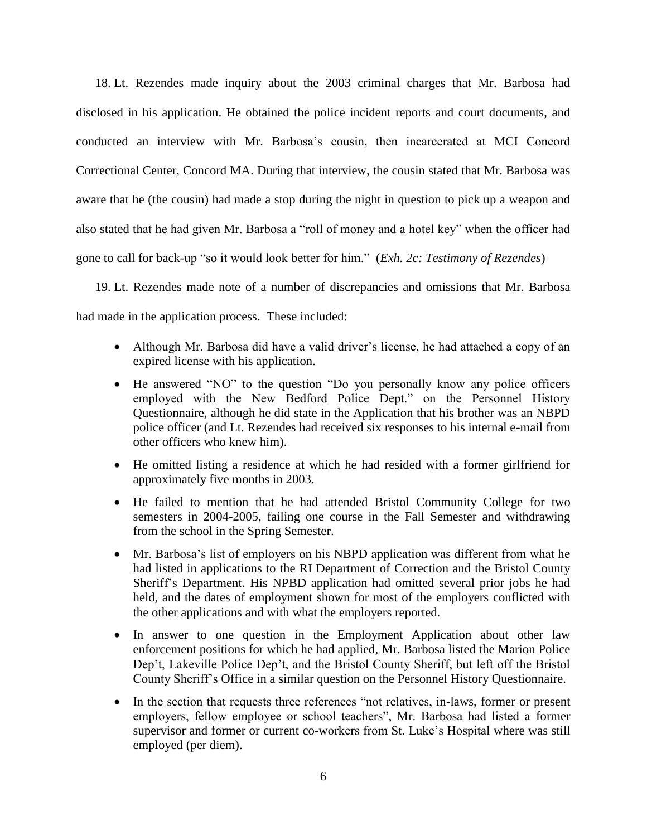18. Lt. Rezendes made inquiry about the 2003 criminal charges that Mr. Barbosa had disclosed in his application. He obtained the police incident reports and court documents, and conducted an interview with Mr. Barbosa's cousin, then incarcerated at MCI Concord Correctional Center, Concord MA. During that interview, the cousin stated that Mr. Barbosa was aware that he (the cousin) had made a stop during the night in question to pick up a weapon and also stated that he had given Mr. Barbosa a "roll of money and a hotel key" when the officer had gone to call for back-up "so it would look better for him." (*Exh. 2c: Testimony of Rezendes*)

19. Lt. Rezendes made note of a number of discrepancies and omissions that Mr. Barbosa had made in the application process. These included:

- Although Mr. Barbosa did have a valid driver's license, he had attached a copy of an expired license with his application.
- He answered "NO" to the question "Do you personally know any police officers employed with the New Bedford Police Dept." on the Personnel History Questionnaire, although he did state in the Application that his brother was an NBPD police officer (and Lt. Rezendes had received six responses to his internal e-mail from other officers who knew him).
- He omitted listing a residence at which he had resided with a former girlfriend for approximately five months in 2003.
- He failed to mention that he had attended Bristol Community College for two semesters in 2004-2005, failing one course in the Fall Semester and withdrawing from the school in the Spring Semester.
- Mr. Barbosa's list of employers on his NBPD application was different from what he had listed in applications to the RI Department of Correction and the Bristol County Sheriff's Department. His NPBD application had omitted several prior jobs he had held, and the dates of employment shown for most of the employers conflicted with the other applications and with what the employers reported.
- In answer to one question in the Employment Application about other law enforcement positions for which he had applied, Mr. Barbosa listed the Marion Police Dep't, Lakeville Police Dep't, and the Bristol County Sheriff, but left off the Bristol County Sheriff's Office in a similar question on the Personnel History Questionnaire.
- In the section that requests three references "not relatives, in-laws, former or present employers, fellow employee or school teachers", Mr. Barbosa had listed a former supervisor and former or current co-workers from St. Luke's Hospital where was still employed (per diem).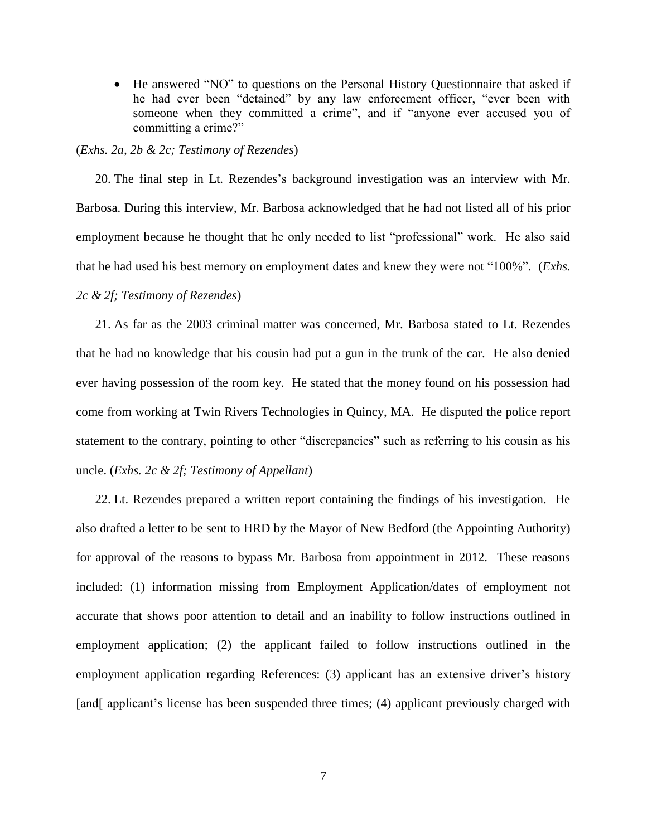He answered "NO" to questions on the Personal History Questionnaire that asked if he had ever been "detained" by any law enforcement officer, "ever been with someone when they committed a crime", and if "anyone ever accused you of committing a crime?"

#### (*Exhs. 2a, 2b & 2c; Testimony of Rezendes*)

20. The final step in Lt. Rezendes's background investigation was an interview with Mr. Barbosa. During this interview, Mr. Barbosa acknowledged that he had not listed all of his prior employment because he thought that he only needed to list "professional" work. He also said that he had used his best memory on employment dates and knew they were not "100%". (*Exhs. 2c & 2f; Testimony of Rezendes*)

21. As far as the 2003 criminal matter was concerned, Mr. Barbosa stated to Lt. Rezendes that he had no knowledge that his cousin had put a gun in the trunk of the car. He also denied ever having possession of the room key. He stated that the money found on his possession had come from working at Twin Rivers Technologies in Quincy, MA. He disputed the police report statement to the contrary, pointing to other "discrepancies" such as referring to his cousin as his uncle. (*Exhs. 2c & 2f; Testimony of Appellant*)

22. Lt. Rezendes prepared a written report containing the findings of his investigation. He also drafted a letter to be sent to HRD by the Mayor of New Bedford (the Appointing Authority) for approval of the reasons to bypass Mr. Barbosa from appointment in 2012. These reasons included: (1) information missing from Employment Application/dates of employment not accurate that shows poor attention to detail and an inability to follow instructions outlined in employment application; (2) the applicant failed to follow instructions outlined in the employment application regarding References: (3) applicant has an extensive driver's history [and] applicant's license has been suspended three times; (4) applicant previously charged with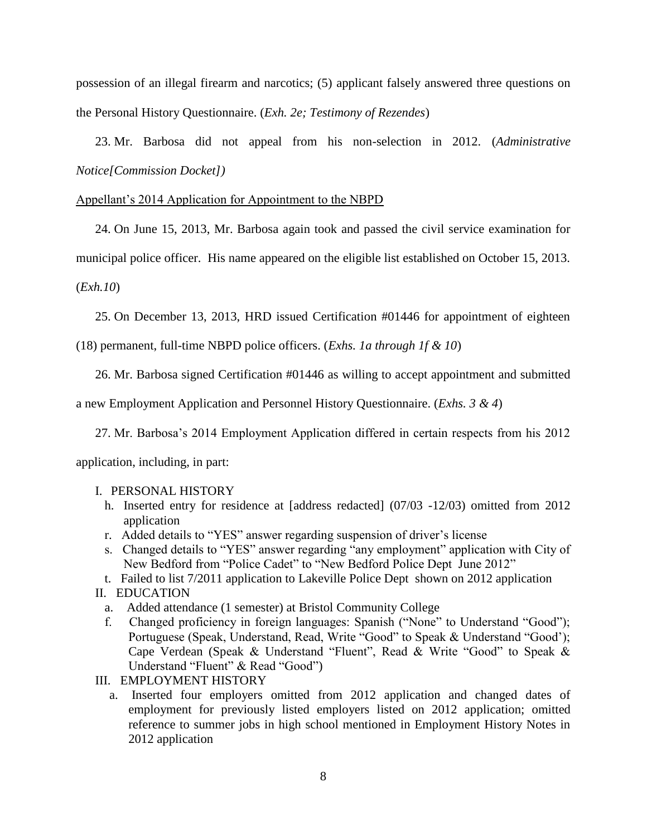possession of an illegal firearm and narcotics; (5) applicant falsely answered three questions on the Personal History Questionnaire. (*Exh. 2e; Testimony of Rezendes*)

23. Mr. Barbosa did not appeal from his non-selection in 2012. (*Administrative Notice[Commission Docket])*

### Appellant's 2014 Application for Appointment to the NBPD

24. On June 15, 2013, Mr. Barbosa again took and passed the civil service examination for

municipal police officer. His name appeared on the eligible list established on October 15, 2013.

(*Exh.10*)

25. On December 13, 2013, HRD issued Certification #01446 for appointment of eighteen

(18) permanent, full-time NBPD police officers. (*Exhs. 1a through 1f & 10*)

26. Mr. Barbosa signed Certification #01446 as willing to accept appointment and submitted

a new Employment Application and Personnel History Questionnaire. (*Exhs. 3 & 4*)

27. Mr. Barbosa's 2014 Employment Application differed in certain respects from his 2012

application, including, in part:

#### I. PERSONAL HISTORY

- h. Inserted entry for residence at [address redacted] (07/03 -12/03) omitted from 2012 application
- r. Added details to "YES" answer regarding suspension of driver's license
- s. Changed details to "YES" answer regarding "any employment" application with City of New Bedford from "Police Cadet" to "New Bedford Police Dept June 2012"

t. Failed to list 7/2011 application to Lakeville Police Dept shown on 2012 application

II. EDUCATION

- a. Added attendance (1 semester) at Bristol Community College
- f. Changed proficiency in foreign languages: Spanish ("None" to Understand "Good"); Portuguese (Speak, Understand, Read, Write "Good" to Speak & Understand "Good"); Cape Verdean (Speak & Understand "Fluent", Read & Write "Good" to Speak & Understand "Fluent" & Read "Good")
- III. EMPLOYMENT HISTORY
	- a. Inserted four employers omitted from 2012 application and changed dates of employment for previously listed employers listed on 2012 application; omitted reference to summer jobs in high school mentioned in Employment History Notes in 2012 application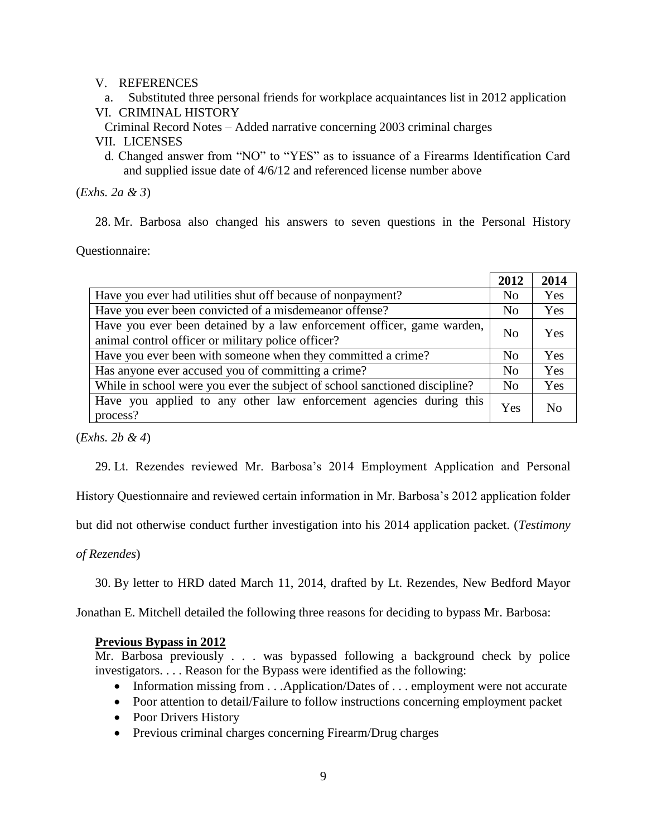# V. REFERENCES

- a. Substituted three personal friends for workplace acquaintances list in 2012 application VI. CRIMINAL HISTORY
- 

Criminal Record Notes – Added narrative concerning 2003 criminal charges

- VII. LICENSES
	- d. Changed answer from "NO" to "YES" as to issuance of a Firearms Identification Card and supplied issue date of 4/6/12 and referenced license number above

(*Exhs. 2a & 3*)

28. Mr. Barbosa also changed his answers to seven questions in the Personal History

Questionnaire:

|                                                                                                                              | 2012           | 2014       |
|------------------------------------------------------------------------------------------------------------------------------|----------------|------------|
| Have you ever had utilities shut off because of nonpayment?                                                                  | N <sub>0</sub> | Yes        |
| Have you ever been convicted of a misdemeanor offense?                                                                       | N <sub>0</sub> | Yes        |
| Have you ever been detained by a law enforcement officer, game warden,<br>animal control officer or military police officer? | N <sub>0</sub> | <b>Yes</b> |
| Have you ever been with someone when they committed a crime?                                                                 | No             | Yes        |
| Has anyone ever accused you of committing a crime?                                                                           | No             | Yes        |
| While in school were you ever the subject of school sanctioned discipline?                                                   | N <sub>0</sub> | Yes        |
| Have you applied to any other law enforcement agencies during this<br>process?                                               | Yes            | No         |

(*Exhs. 2b & 4*)

29. Lt. Rezendes reviewed Mr. Barbosa's 2014 Employment Application and Personal

History Questionnaire and reviewed certain information in Mr. Barbosa's 2012 application folder

but did not otherwise conduct further investigation into his 2014 application packet. (*Testimony* 

*of Rezendes*)

30. By letter to HRD dated March 11, 2014, drafted by Lt. Rezendes, New Bedford Mayor

Jonathan E. Mitchell detailed the following three reasons for deciding to bypass Mr. Barbosa:

# **Previous Bypass in 2012**

Mr. Barbosa previously . . . was bypassed following a background check by police investigators. . . . Reason for the Bypass were identified as the following:

- Information missing from . . .Application/Dates of . . . employment were not accurate
- Poor attention to detail/Failure to follow instructions concerning employment packet
- Poor Drivers History
- Previous criminal charges concerning Firearm/Drug charges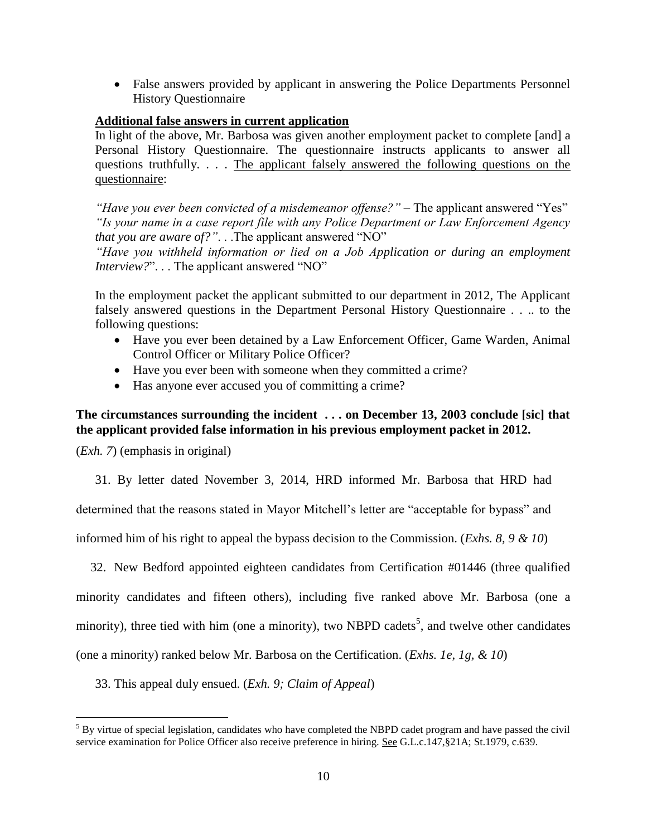False answers provided by applicant in answering the Police Departments Personnel History Questionnaire

# **Additional false answers in current application**

In light of the above, Mr. Barbosa was given another employment packet to complete [and] a Personal History Questionnaire. The questionnaire instructs applicants to answer all questions truthfully. . . . The applicant falsely answered the following questions on the questionnaire:

*"Have you ever been convicted of a misdemeanor offense?"* – The applicant answered "Yes" *"Is your name in a case report file with any Police Department or Law Enforcement Agency that you are aware of?"*. . .The applicant answered "NO"

*"Have you withheld information or lied on a Job Application or during an employment Interview?*". . . The applicant answered "NO"

In the employment packet the applicant submitted to our department in 2012, The Applicant falsely answered questions in the Department Personal History Questionnaire . . .. to the following questions:

- Have you ever been detained by a Law Enforcement Officer, Game Warden, Animal Control Officer or Military Police Officer?
- Have you ever been with someone when they committed a crime?
- Has anyone ever accused you of committing a crime?

# **The circumstances surrounding the incident . . . on December 13, 2003 conclude [sic] that the applicant provided false information in his previous employment packet in 2012.**

(*Exh. 7*) (emphasis in original)

 $\overline{a}$ 

31. By letter dated November 3, 2014, HRD informed Mr. Barbosa that HRD had

determined that the reasons stated in Mayor Mitchell's letter are "acceptable for bypass" and

informed him of his right to appeal the bypass decision to the Commission. (*Exhs. 8, 9 & 10*)

32. New Bedford appointed eighteen candidates from Certification #01446 (three qualified minority candidates and fifteen others), including five ranked above Mr. Barbosa (one a minority), three tied with him (one a minority), two NBPD cadets<sup>5</sup>, and twelve other candidates (one a minority) ranked below Mr. Barbosa on the Certification. (*Exhs. 1e, 1g, & 10*)

33. This appeal duly ensued. (*Exh. 9; Claim of Appeal*)

<sup>&</sup>lt;sup>5</sup> By virtue of special legislation, candidates who have completed the NBPD cadet program and have passed the civil service examination for Police Officer also receive preference in hiring. See G.L.c.147,§21A; St.1979, c.639.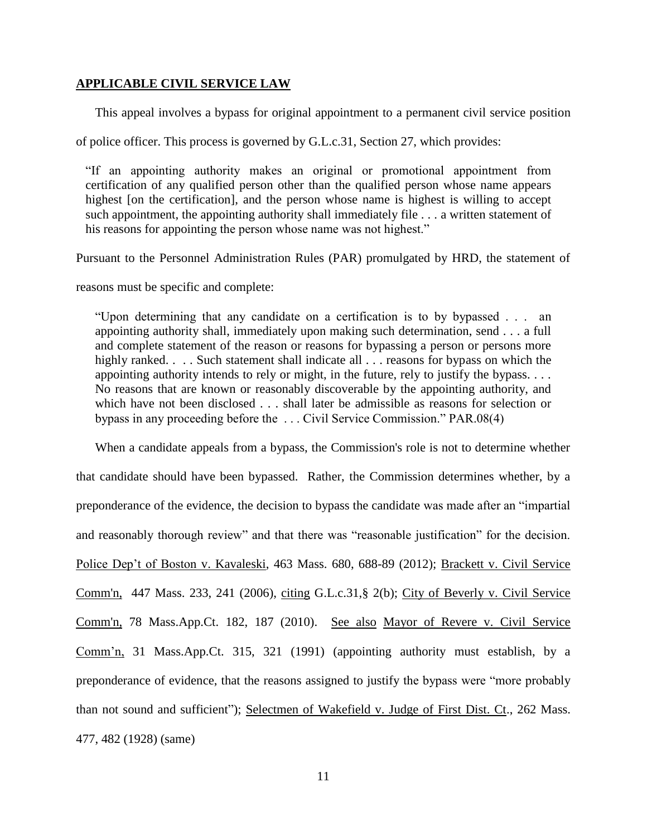### **APPLICABLE CIVIL SERVICE LAW**

This appeal involves a bypass for original appointment to a permanent civil service position

of police officer. This process is governed by G.L.c.31, Section 27, which provides:

"If an appointing authority makes an original or promotional appointment from certification of any qualified person other than the qualified person whose name appears highest [on the certification], and the person whose name is highest is willing to accept such appointment, the appointing authority shall immediately file . . . a written statement of his reasons for appointing the person whose name was not highest."

Pursuant to the Personnel Administration Rules (PAR) promulgated by HRD, the statement of

reasons must be specific and complete:

"Upon determining that any candidate on a certification is to by bypassed . . . an appointing authority shall, immediately upon making such determination, send . . . a full and complete statement of the reason or reasons for bypassing a person or persons more highly ranked. . . . Such statement shall indicate all . . . reasons for bypass on which the appointing authority intends to rely or might, in the future, rely to justify the bypass. . . . No reasons that are known or reasonably discoverable by the appointing authority, and which have not been disclosed . . . shall later be admissible as reasons for selection or bypass in any proceeding before the . . . Civil Service Commission." PAR.08(4)

When a candidate appeals from a bypass, the Commission's role is not to determine whether that candidate should have been bypassed. Rather, the Commission determines whether, by a preponderance of the evidence, the decision to bypass the candidate was made after an "impartial and reasonably thorough review" and that there was "reasonable justification" for the decision. Police Dep't of Boston v. Kavaleski, 463 Mass. 680, 688-89 (2012); [Brackett v. Civil Service](http://web2.westlaw.com/find/default.wl?mt=Massachusetts&db=578&rs=WLW15.04&tc=-1&rp=%2ffind%2fdefault.wl&findtype=Y&ordoc=2029136022&serialnum=2009543382&vr=2.0&fn=_top&sv=Split&tf=-1&pbc=70F732C1&utid=1)  [Comm'n, 447 Mass. 233, 241 \(2006\)](http://web2.westlaw.com/find/default.wl?mt=Massachusetts&db=578&rs=WLW15.04&tc=-1&rp=%2ffind%2fdefault.wl&findtype=Y&ordoc=2029136022&serialnum=2009543382&vr=2.0&fn=_top&sv=Split&tf=-1&pbc=70F732C1&utid=1), citing [G.L.c.31,§ 2\(b\);](http://web2.westlaw.com/find/default.wl?mt=Massachusetts&db=1000042&rs=WLW15.04&docname=MAST31S2&rp=%2ffind%2fdefault.wl&findtype=L&ordoc=2029136022&tc=-1&vr=2.0&fn=_top&sv=Split&tf=-1&pbc=70F732C1&utid=1) City of [Beverly v. Civil Service](http://web2.westlaw.com/find/default.wl?mt=Massachusetts&db=578&rs=WLW15.04&tc=-1&rp=%2ffind%2fdefault.wl&findtype=Y&ordoc=2029136022&serialnum=2023501172&vr=2.0&fn=_top&sv=Split&tf=-1&pbc=70F732C1&utid=1)  Comm'n, [78 Mass.App.Ct. 182, 187 \(2010\).](http://web2.westlaw.com/find/default.wl?mt=Massachusetts&db=578&rs=WLW15.04&tc=-1&rp=%2ffind%2fdefault.wl&findtype=Y&ordoc=2029136022&serialnum=2023501172&vr=2.0&fn=_top&sv=Split&tf=-1&pbc=70F732C1&utid=1) See also Mayor of Revere v. Civil Service Comm'n, 31 Mass.App.Ct. 315, 321 (1991) (appointing authority must establish, by a preponderance of evidence, that the reasons assigned to justify the bypass were "more probably than not sound and sufficient"); Selectmen of Wakefield v. Judge of First Dist. Ct., 262 Mass. 477, 482 (1928) (same)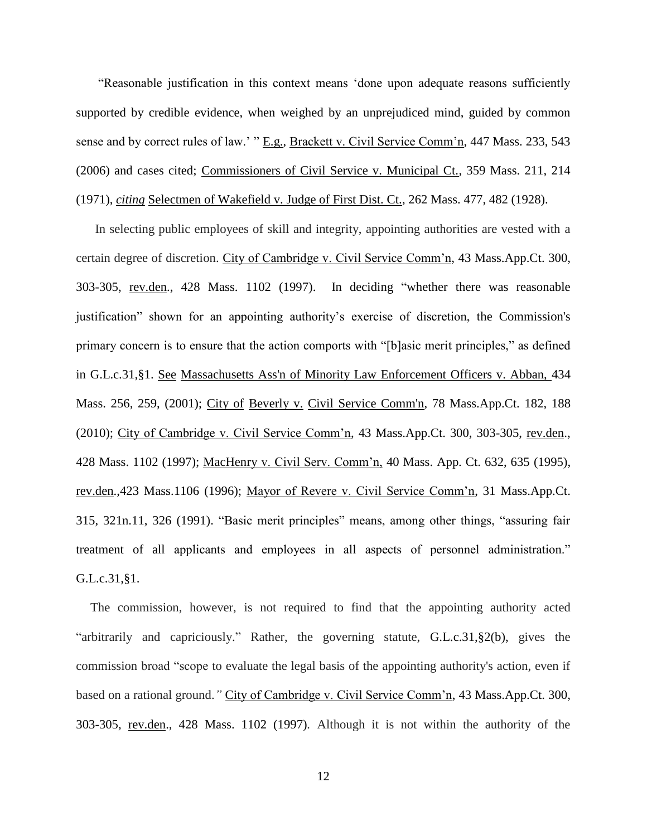"Reasonable justification in this context means 'done upon adequate reasons sufficiently supported by credible evidence, when weighed by an unprejudiced mind, guided by common sense and by correct rules of law.' " E.g., Brackett v. Civil Service Comm'n, 447 Mass. 233, 543 (2006) and cases cited; Commissioners of Civil Service v. Municipal Ct., 359 Mass. 211, 214 (1971), *citing* Selectmen of Wakefield v. Judge of First Dist. Ct., 262 Mass. 477, 482 (1928).

In selecting public employees of skill and integrity, appointing authorities are vested with a certain degree of discretion. City of Cambridge v. Civil Service Comm'n, 43 Mass.App.Ct. 300, 303-305, rev.den., 428 Mass. 1102 (1997). In deciding "whether there was reasonable justification" shown for an appointing authority's exercise of discretion, the Commission's primary concern is to ensure that the action comports with "[b]asic merit principles," as defined in [G.L.c.31,§1.](http://web2.westlaw.com/find/default.wl?mt=Massachusetts&db=1000042&rs=WLW15.04&docname=MAST31S1&rp=%2ffind%2fdefault.wl&findtype=L&ordoc=2029136022&tc=-1&vr=2.0&fn=_top&sv=Split&tf=-1&pbc=70F732C1&utid=1) See [Massachusetts Ass'n of Minority Law Enforcement Officers v. Abban,](http://web2.westlaw.com/find/default.wl?mt=Massachusetts&db=578&rs=WLW15.04&tc=-1&rp=%2ffind%2fdefault.wl&findtype=Y&ordoc=2029136022&serialnum=2001441097&vr=2.0&fn=_top&sv=Split&tf=-1&pbc=70F732C1&utid=1) 434 [Mass. 256, 259, \(2001\);](http://web2.westlaw.com/find/default.wl?mt=Massachusetts&db=578&rs=WLW15.04&tc=-1&rp=%2ffind%2fdefault.wl&findtype=Y&ordoc=2029136022&serialnum=2001441097&vr=2.0&fn=_top&sv=Split&tf=-1&pbc=70F732C1&utid=1) City of Beverly v. [Civil Service Comm'n, 78 Mass.App.Ct. 182, 188](http://web2.westlaw.com/find/default.wl?mt=Massachusetts&db=578&rs=WLW15.04&tc=-1&rp=%2ffind%2fdefault.wl&findtype=Y&ordoc=2029136022&serialnum=2023501172&vr=2.0&fn=_top&sv=Split&tf=-1&pbc=70F732C1&utid=1) [\(2010\);](http://web2.westlaw.com/find/default.wl?mt=Massachusetts&db=578&rs=WLW15.04&tc=-1&rp=%2ffind%2fdefault.wl&findtype=Y&ordoc=2029136022&serialnum=2023501172&vr=2.0&fn=_top&sv=Split&tf=-1&pbc=70F732C1&utid=1) City of Cambridge v. Civil Service Comm'n, 43 Mass.App.Ct. 300, 303-305, rev.den., 428 Mass. 1102 (1997); MacHenry v. Civil Serv. Comm'n, 40 Mass. App. Ct. 632, 635 (1995), rev.den.,423 Mass.1106 (1996); Mayor of Revere v. Civil Service Comm'n, 31 Mass.App.Ct. 315, 321n.11, 326 (1991). "Basic merit principles" means, among other things, "assuring fair treatment of all applicants and employees in all aspects of personnel administration." G.L.c.31,§1.

The commission, however, is not required to find that the appointing authority acted "arbitrarily and capriciously." Rather, the governing statute, [G.L.c.31,§2\(b\),](https://1.next.westlaw.com/Link/Document/FullText?findType=L&pubNum=1000042&cite=MAST31S2&originatingDoc=Ib21af0ded3bd11d99439b076ef9ec4de&refType=LQ&originationContext=document&transitionType=DocumentItem&contextData=(sc.History*oc.UserEnteredCitation)) gives the commission broad "scope to evaluate the legal basis of the appointing authority's action, even if based on a rational ground.*"* City of Cambridge v. Civil Service Comm'n, 43 Mass.App.Ct. 300, 303-305, rev.den., 428 Mass. 1102 (1997)*.* Although it is not within the authority of the

12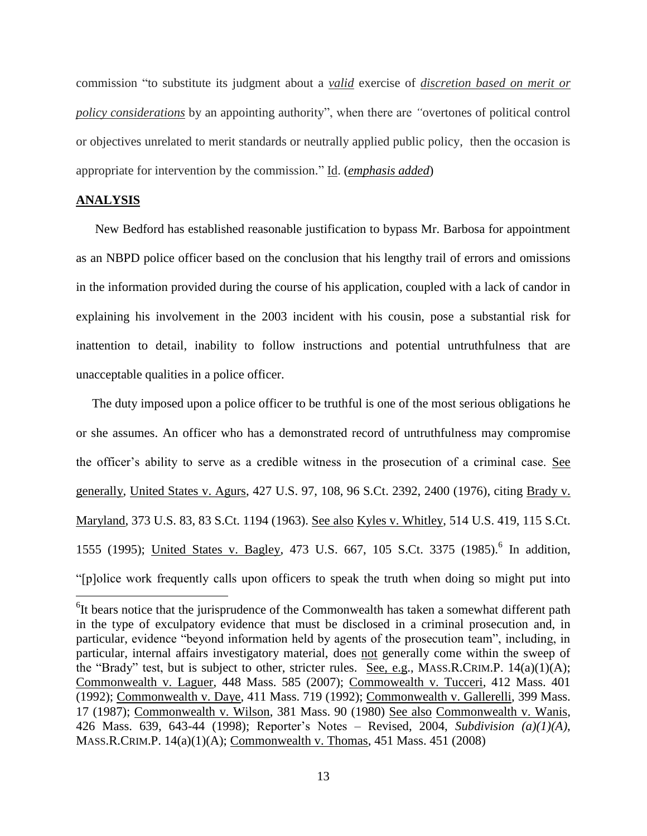commission "to substitute its judgment about a *valid* exercise of *discretion based on merit or policy considerations* by an appointing authority", when there are *"*overtones of political control or objectives unrelated to merit standards or neutrally applied public policy, then the occasion is appropriate for intervention by the commission." Id. (*emphasis added*)

#### **ANALYSIS**

 $\overline{a}$ 

New Bedford has established reasonable justification to bypass Mr. Barbosa for appointment as an NBPD police officer based on the conclusion that his lengthy trail of errors and omissions in the information provided during the course of his application, coupled with a lack of candor in explaining his involvement in the 2003 incident with his cousin, pose a substantial risk for inattention to detail, inability to follow instructions and potential untruthfulness that are unacceptable qualities in a police officer.

The duty imposed upon a police officer to be truthful is one of the most serious obligations he or she assumes. An officer who has a demonstrated record of untruthfulness may compromise the officer's ability to serve as a credible witness in the prosecution of a criminal case. See generally, United States v. Agurs, 427 U.S. 97, 108, 96 S.Ct. 2392, 2400 (1976), citing Brady v. Maryland, 373 U.S. 83, 83 S.Ct. 1194 (1963). See also Kyles v. Whitley, 514 U.S. 419, 115 S.Ct. 1555 (1995); United States v. Bagley, 473 U.S. 667, 105 S.Ct. 3375 (1985).<sup>6</sup> In addition, "[p]olice work frequently calls upon officers to speak the truth when doing so might put into

<sup>&</sup>lt;sup>6</sup>It bears notice that the jurisprudence of the Commonwealth has taken a somewhat different path in the type of exculpatory evidence that must be disclosed in a criminal prosecution and, in particular, evidence "beyond information held by agents of the prosecution team", including, in particular, internal affairs investigatory material, does not generally come within the sweep of the "Brady" test, but is subject to other, stricter rules. See, e.g., MASS.R.CRIM.P. 14(a)(1)(A); Commonwealth v. Laguer, 448 Mass. 585 (2007); Commowealth v. Tucceri, 412 Mass. 401 (1992); Commonwealth v. Daye, 411 Mass. 719 (1992); Commonwealth v. Gallerelli, 399 Mass. 17 (1987); Commonwealth v. Wilson, 381 Mass. 90 (1980) See also Commonwealth v. Wanis, 426 Mass. 639, 643-44 (1998); Reporter's Notes – Revised, 2004, *Subdivision (a)(1)(A)*, MASS.R.CRIM.P. 14(a)(1)(A); Commonwealth v. Thomas, 451 Mass. 451 (2008)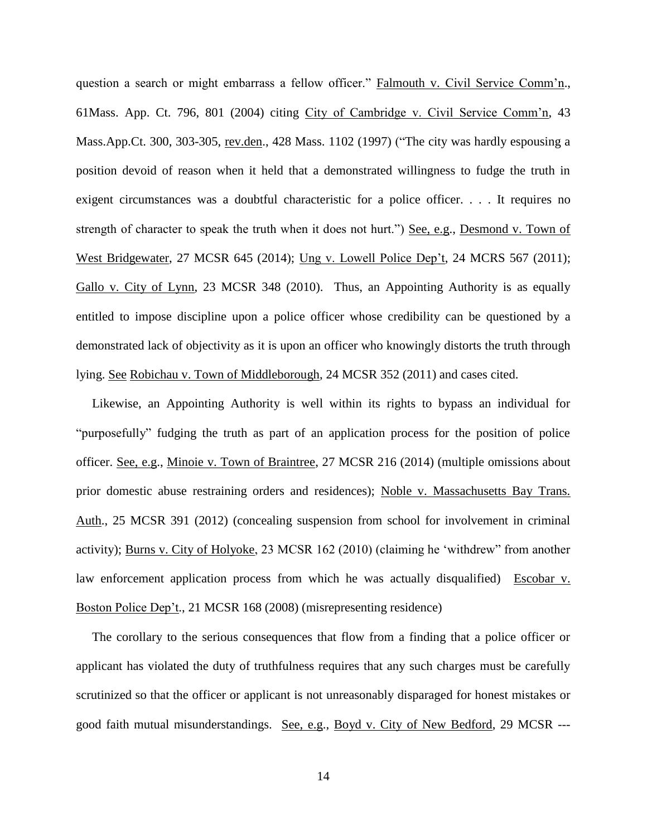question a search or might embarrass a fellow officer." Falmouth v. Civil Service Comm'n., 61Mass. App. Ct. 796, 801 (2004) citing City of Cambridge v. Civil Service Comm'n, 43 Mass.App.Ct. 300, 303-305, rev.den., 428 Mass. 1102 (1997) ("The city was hardly espousing a position devoid of reason when it held that a demonstrated willingness to fudge the truth in exigent circumstances was a doubtful characteristic for a police officer. . . . It requires no strength of character to speak the truth when it does not hurt.") See, e.g., Desmond v. Town of West Bridgewater, 27 MCSR 645 (2014); Ung v. Lowell Police Dep't, 24 MCRS 567 (2011); Gallo v. City of Lynn, 23 MCSR 348 (2010). Thus, an Appointing Authority is as equally entitled to impose discipline upon a police officer whose credibility can be questioned by a demonstrated lack of objectivity as it is upon an officer who knowingly distorts the truth through lying. See Robichau v. Town of Middleborough, 24 MCSR 352 (2011) and cases cited.

Likewise, an Appointing Authority is well within its rights to bypass an individual for "purposefully" fudging the truth as part of an application process for the position of police officer. See, e.g., Minoie v. Town of Braintree, 27 MCSR 216 (2014) (multiple omissions about prior domestic abuse restraining orders and residences); Noble v. Massachusetts Bay Trans. Auth., 25 MCSR 391 (2012) (concealing suspension from school for involvement in criminal activity); Burns v. City of Holyoke, 23 MCSR 162 (2010) (claiming he 'withdrew" from another law enforcement application process from which he was actually disqualified) Escobar v. Boston Police Dep't., 21 MCSR 168 (2008) (misrepresenting residence)

The corollary to the serious consequences that flow from a finding that a police officer or applicant has violated the duty of truthfulness requires that any such charges must be carefully scrutinized so that the officer or applicant is not unreasonably disparaged for honest mistakes or good faith mutual misunderstandings. See, e.g., Boyd v. City of New Bedford, 29 MCSR ---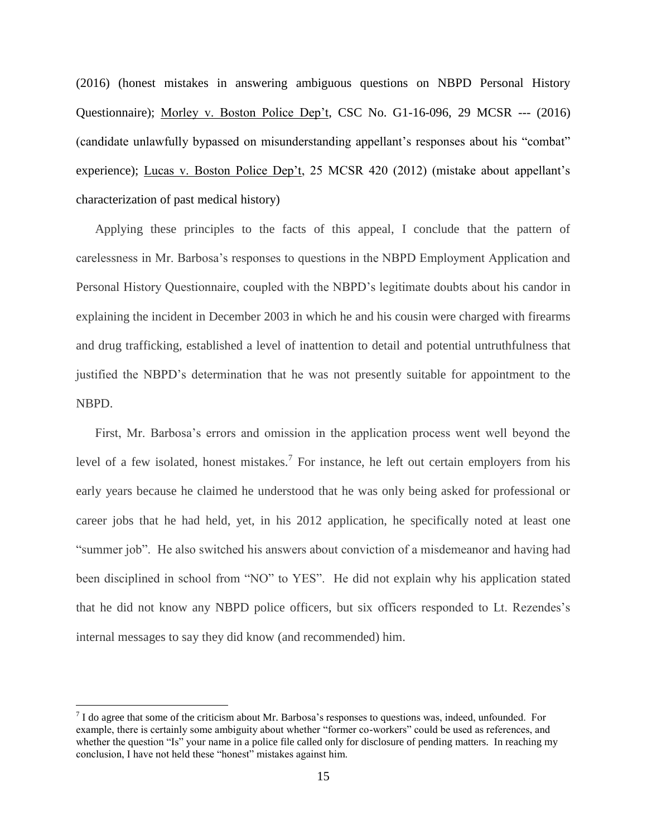(2016) (honest mistakes in answering ambiguous questions on NBPD Personal History Questionnaire); Morley v. Boston Police Dep't, CSC No. G1-16-096, 29 MCSR --- (2016) (candidate unlawfully bypassed on misunderstanding appellant's responses about his "combat" experience); Lucas v. Boston Police Dep't, 25 MCSR 420 (2012) (mistake about appellant's characterization of past medical history)

Applying these principles to the facts of this appeal, I conclude that the pattern of carelessness in Mr. Barbosa's responses to questions in the NBPD Employment Application and Personal History Questionnaire, coupled with the NBPD's legitimate doubts about his candor in explaining the incident in December 2003 in which he and his cousin were charged with firearms and drug trafficking, established a level of inattention to detail and potential untruthfulness that justified the NBPD's determination that he was not presently suitable for appointment to the NBPD.

First, Mr. Barbosa's errors and omission in the application process went well beyond the level of a few isolated, honest mistakes.<sup>7</sup> For instance, he left out certain employers from his early years because he claimed he understood that he was only being asked for professional or career jobs that he had held, yet, in his 2012 application, he specifically noted at least one "summer job". He also switched his answers about conviction of a misdemeanor and having had been disciplined in school from "NO" to YES". He did not explain why his application stated that he did not know any NBPD police officers, but six officers responded to Lt. Rezendes's internal messages to say they did know (and recommended) him.

 $\overline{a}$ 

 $<sup>7</sup>$  I do agree that some of the criticism about Mr. Barbosa's responses to questions was, indeed, unfounded. For</sup> example, there is certainly some ambiguity about whether "former co-workers" could be used as references, and whether the question "Is" your name in a police file called only for disclosure of pending matters. In reaching my conclusion, I have not held these "honest" mistakes against him.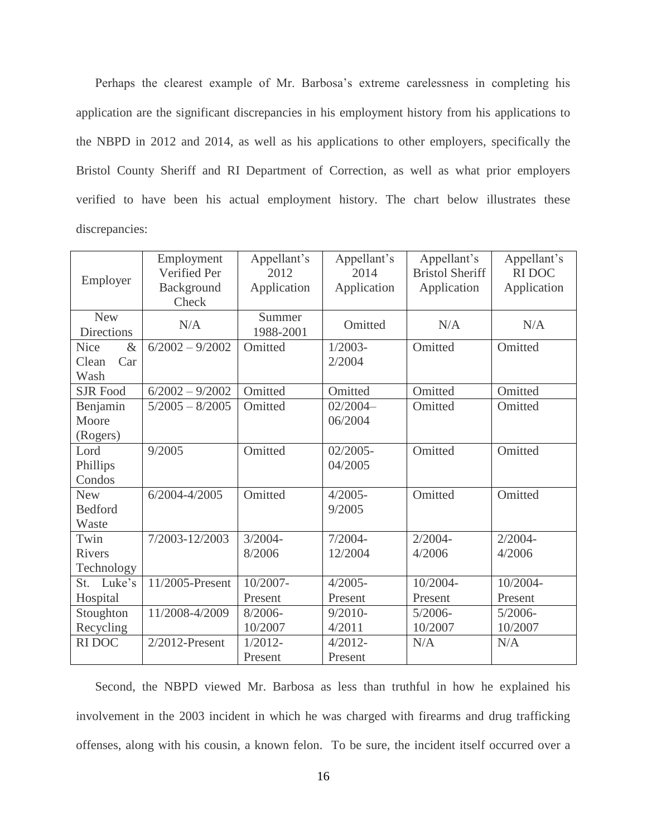Perhaps the clearest example of Mr. Barbosa's extreme carelessness in completing his application are the significant discrepancies in his employment history from his applications to the NBPD in 2012 and 2014, as well as his applications to other employers, specifically the Bristol County Sheriff and RI Department of Correction, as well as what prior employers verified to have been his actual employment history. The chart below illustrates these discrepancies:

| Employer                                    | Employment<br>Verified Per<br>Background<br>Check | Appellant's<br>2012<br>Application | Appellant's<br>2014<br>Application | Appellant's<br><b>Bristol Sheriff</b><br>Application | Appellant's<br><b>RIDOC</b><br>Application |
|---------------------------------------------|---------------------------------------------------|------------------------------------|------------------------------------|------------------------------------------------------|--------------------------------------------|
| <b>New</b><br><b>Directions</b>             | N/A                                               | Summer<br>1988-2001                | Omitted                            | N/A                                                  | N/A                                        |
| <b>Nice</b><br>$\&$<br>Clean<br>Car<br>Wash | $6/2002 - 9/2002$                                 | Omitted                            | $1/2003-$<br>2/2004                | Omitted                                              | Omitted                                    |
| <b>SJR Food</b>                             | $6/2002 - 9/2002$                                 | Omitted                            | Omitted                            | Omitted                                              | Omitted                                    |
| Benjamin<br>Moore<br>(Rogers)               | $5/2005 - 8/2005$                                 | Omitted                            | $02/2004-$<br>06/2004              | Omitted                                              | Omitted                                    |
| Lord<br>Phillips<br>Condos                  | 9/2005                                            | Omitted                            | $02/2005 -$<br>04/2005             | Omitted                                              | Omitted                                    |
| <b>New</b><br><b>Bedford</b><br>Waste       | $6/2004 - 4/2005$                                 | Omitted                            | $4/2005 -$<br>9/2005               | Omitted                                              | Omitted                                    |
| Twin<br><b>Rivers</b><br>Technology         | 7/2003-12/2003                                    | $3/2004 -$<br>8/2006               | $7/2004 -$<br>12/2004              | $2/2004 -$<br>4/2006                                 | $2/2004 -$<br>4/2006                       |
| Luke's<br>St.                               | 11/2005-Present                                   | $\overline{10}/2007 -$             | $4/2005 -$                         | 10/2004-                                             | 10/2004-                                   |
| Hospital                                    |                                                   | Present                            | Present                            | Present                                              | Present                                    |
| Stoughton                                   | 11/2008-4/2009                                    | $8/2006 -$                         | $9/2010-$                          | $5/2006 -$                                           | $5/2006 -$                                 |
| Recycling                                   |                                                   | 10/2007                            | 4/2011                             | 10/2007                                              | 10/2007                                    |
| <b>RIDOC</b>                                | $2/2012$ -Present                                 | $1/2012-$                          | $4/2012$ -                         | N/A                                                  | N/A                                        |
|                                             |                                                   | Present                            | Present                            |                                                      |                                            |

Second, the NBPD viewed Mr. Barbosa as less than truthful in how he explained his involvement in the 2003 incident in which he was charged with firearms and drug trafficking offenses, along with his cousin, a known felon. To be sure, the incident itself occurred over a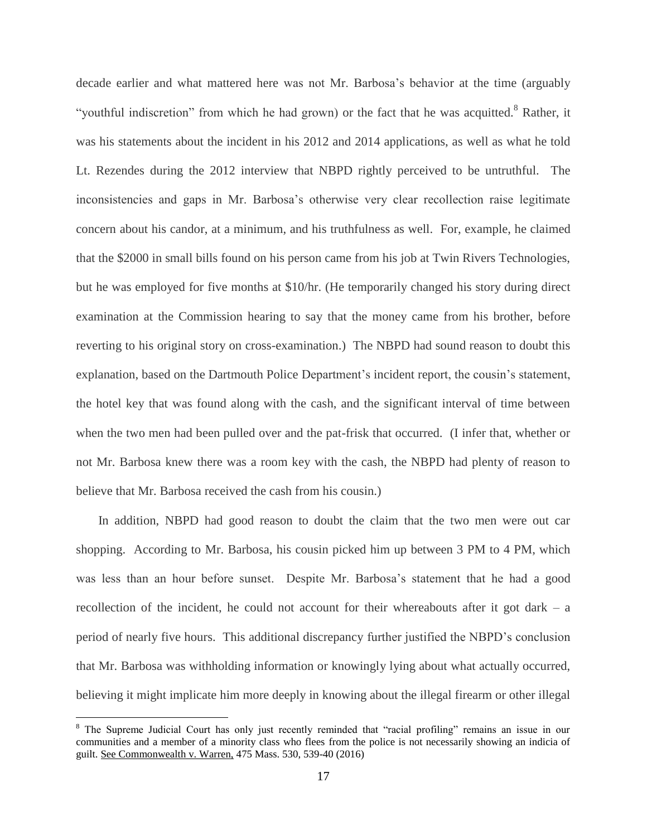decade earlier and what mattered here was not Mr. Barbosa's behavior at the time (arguably "youthful indiscretion" from which he had grown) or the fact that he was acquitted.<sup>8</sup> Rather, it was his statements about the incident in his 2012 and 2014 applications, as well as what he told Lt. Rezendes during the 2012 interview that NBPD rightly perceived to be untruthful. The inconsistencies and gaps in Mr. Barbosa's otherwise very clear recollection raise legitimate concern about his candor, at a minimum, and his truthfulness as well. For, example, he claimed that the \$2000 in small bills found on his person came from his job at Twin Rivers Technologies, but he was employed for five months at \$10/hr. (He temporarily changed his story during direct examination at the Commission hearing to say that the money came from his brother, before reverting to his original story on cross-examination.) The NBPD had sound reason to doubt this explanation, based on the Dartmouth Police Department's incident report, the cousin's statement, the hotel key that was found along with the cash, and the significant interval of time between when the two men had been pulled over and the pat-frisk that occurred. (I infer that, whether or not Mr. Barbosa knew there was a room key with the cash, the NBPD had plenty of reason to believe that Mr. Barbosa received the cash from his cousin.)

In addition, NBPD had good reason to doubt the claim that the two men were out car shopping. According to Mr. Barbosa, his cousin picked him up between 3 PM to 4 PM, which was less than an hour before sunset. Despite Mr. Barbosa's statement that he had a good recollection of the incident, he could not account for their whereabouts after it got dark – a period of nearly five hours. This additional discrepancy further justified the NBPD's conclusion that Mr. Barbosa was withholding information or knowingly lying about what actually occurred, believing it might implicate him more deeply in knowing about the illegal firearm or other illegal

 $\overline{a}$ 

<sup>&</sup>lt;sup>8</sup> The Supreme Judicial Court has only just recently reminded that "racial profiling" remains an issue in our communities and a member of a minority class who flees from the police is not necessarily showing an indicia of guilt. See Commonwealth v. Warren, 475 Mass. 530, 539-40 (2016)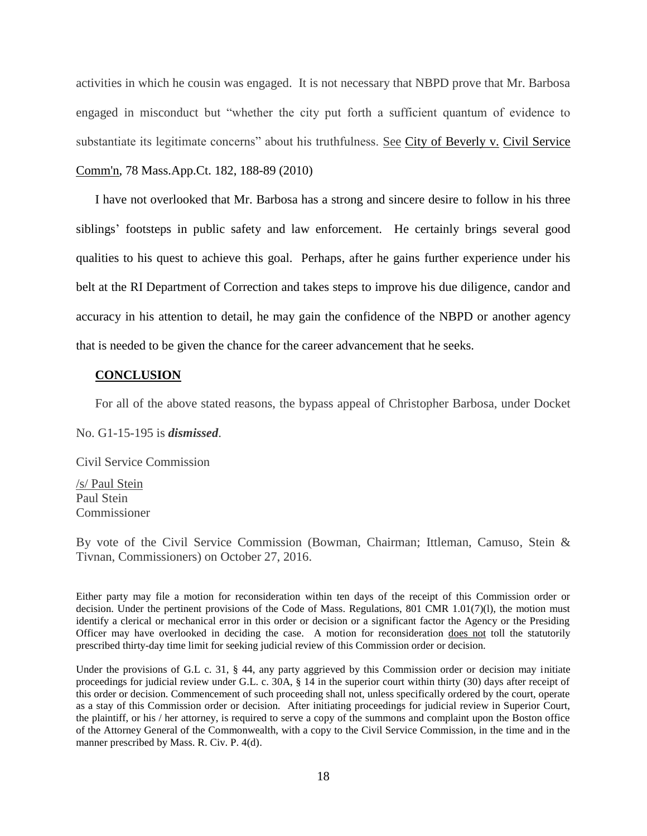activities in which he cousin was engaged. It is not necessary that NBPD prove that Mr. Barbosa engaged in misconduct but "whether the city put forth a sufficient quantum of evidence to substantiate its legitimate concerns" about his truthfulness. See City of Beverly v. Civil Service [Comm'n, 78 Mass.App.Ct. 182, 188-89](http://web2.westlaw.com/find/default.wl?mt=Massachusetts&db=578&rs=WLW15.04&tc=-1&rp=%2ffind%2fdefault.wl&findtype=Y&ordoc=2029136022&serialnum=2023501172&vr=2.0&fn=_top&sv=Split&tf=-1&pbc=70F732C1&utid=1) (2010)

I have not overlooked that Mr. Barbosa has a strong and sincere desire to follow in his three siblings' footsteps in public safety and law enforcement. He certainly brings several good qualities to his quest to achieve this goal. Perhaps, after he gains further experience under his belt at the RI Department of Correction and takes steps to improve his due diligence, candor and accuracy in his attention to detail, he may gain the confidence of the NBPD or another agency that is needed to be given the chance for the career advancement that he seeks.

### **CONCLUSION**

For all of the above stated reasons, the bypass appeal of Christopher Barbosa, under Docket

No. G1-15-195 is *dismissed*.

Civil Service Commission

/s/ Paul Stein Paul Stein Commissioner

By vote of the Civil Service Commission (Bowman, Chairman; Ittleman, Camuso, Stein & Tivnan, Commissioners) on October 27, 2016.

Either party may file a motion for reconsideration within ten days of the receipt of this Commission order or decision. Under the pertinent provisions of the Code of Mass. Regulations, 801 CMR 1.01(7)(l), the motion must identify a clerical or mechanical error in this order or decision or a significant factor the Agency or the Presiding Officer may have overlooked in deciding the case. A motion for reconsideration does not toll the statutorily prescribed thirty-day time limit for seeking judicial review of this Commission order or decision.

Under the provisions of G.L c. 31, § 44, any party aggrieved by this Commission order or decision may initiate proceedings for judicial review under G.L. c. 30A, § 14 in the superior court within thirty (30) days after receipt of this order or decision. Commencement of such proceeding shall not, unless specifically ordered by the court, operate as a stay of this Commission order or decision. After initiating proceedings for judicial review in Superior Court, the plaintiff, or his / her attorney, is required to serve a copy of the summons and complaint upon the Boston office of the Attorney General of the Commonwealth, with a copy to the Civil Service Commission, in the time and in the manner prescribed by Mass. R. Civ. P. 4(d).